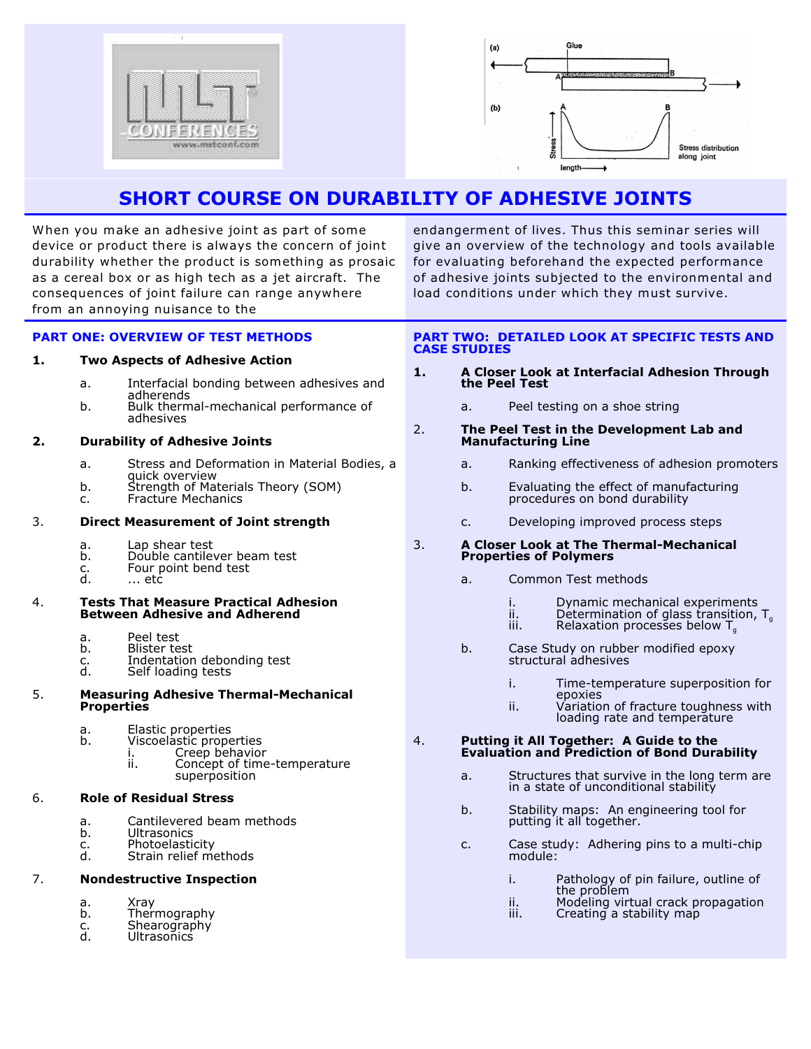



# **SHORT COURSE ON DURABILITY OF ADHESIVE JOINTS**

When you make an adhesive joint as part of some device or product there is always the concern of joint durability whether the product is something as prosaic as a cereal box or as high tech as a jet aircraft. The consequences of joint failure can range anywhere from an annoying nuisance to the

give an overview of the technology and tools available for evaluating beforehand the expected performance of adhesive joints subjected to the environmental and load conditions under which they must survive.

endangerment of lives. Thus this seminar series will

## **PART ONE: OVERVIEW OF TEST METHODS**

### **1. Two Aspects of Adhesive Action**

- a. Interfacial bonding between adhesives and adherends
- b. Bulk thermal-mechanical performance of adhesives

#### **2. Durability of Adhesive Joints**

- a. Stress and Deformation in Material Bodies, a quick overview
- b. Strength of Materials Theory (SOM)<br>c. Fracture Mechanics
- Fracture Mechanics

## 3. **Direct Measurement of Joint strength**

- 
- a. Lap shear test<br>b. Double cantiley
	- b. Double cantilever beam test<br>c. Four point bend test c. Four point bend test
		- ... etc

#### 4. **Tests That Measure Practical Adhesion Between Adhesive and Adherend**

- a. Peel test<br>b. Blister te
- 
- b. Blister test<br>c. Indentation<br>d. Self loading Indentation debonding test
- Self loading tests

## 5. **Measuring Adhesive Thermal-Mechanical Properties**

- a. Elastic properties<br>b. Viscoelastic prope
	- Viscoelastic properties

i. Creep behavior<br>ii. Concept of time Concept of time-temperature

superposition

## 6. **Role of Residual Stress**

- a. Cantilevered beam methods<br>b. Ultrasonics
- b. Ultrasonics<br>c. Photoelastic
- c. Photoelasticity<br>d. Strain relief m
- Strain relief methods

## 7. **Nondestructive Inspection**

- a. Xray<br>b. Theri
- **Thermography**
- c. Shearography<br>d. Ultrasonics
- **Ultrasonics**

## **PART TWO: DETAILED LOOK AT SPECIFIC TESTS AND CASE STUDIES**

- **1. A Closer Look at Interfacial Adhesion Through the Peel Test**
	- a. Peel testing on a shoe string

### 2. **The Peel Test in the Development Lab and Manufacturing Line**

- a. Ranking effectiveness of adhesion promoters
- b. Evaluating the effect of manufacturing procedures on bond durability
- c. Developing improved process steps

#### 3. **A Closer Look at The Thermal-Mechanical Properties of Polymers**

- a. Common Test methods
	- i. Dynamic mechanical experiments<br>ii. Determination of glass transition,
	- ii. Determination of glass transition, T.
	- iii. Relaxation processes below T<sub>g</sub>
- b. Case Study on rubber modified epoxy structural adhesives
	- i. Time-temperature superposition for epoxies
	- ii. Variation of fracture toughness with loading rate and temperature

#### 4. **Putting it All Together: A Guide to the Evaluation and Prediction of Bond Durability**

- a. Structures that survive in the long term are in a state of unconditional stability
- b. Stability maps: An engineering tool for putting it all together.
- c. Case study: Adhering pins to a multi-chip module:
	- i. Pathology of pin failure, outline of the problem
	- ii. Modeling virtual crack propagation<br>iii. Creating a stability map
	- Creating a stability map